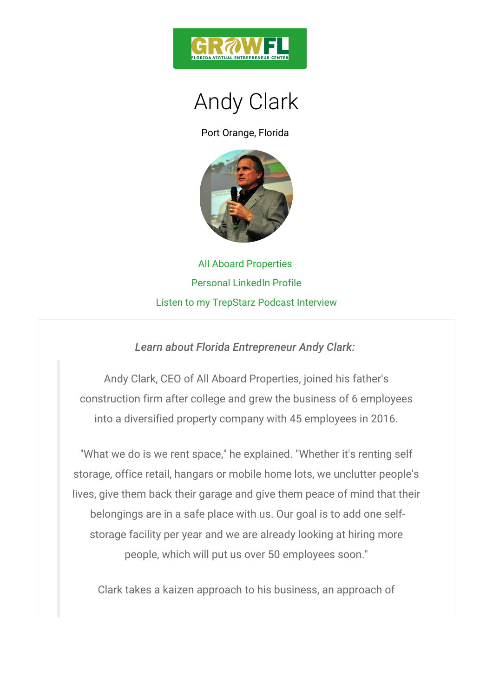

## Andy Clark

Port Orange, Florida

All Aboard Properties Personal LinkedIn Profile [Listen to](http://trepstarz.libsyn.com/episode-8-all-aboard-properties-with-andy-clark) my TrepStarz Podcast Interview

Learn about Florida Entrepreneur Andy Clark:

Andy Clark, CEO of All Aboard Properties, joined construction firm after college and grew the business into a diversified property company with 45 employ

"What we do is we rent space," he explained. "Wheth storage, office retail, hangars or mobile home lots, we lives, give them back their garage and give them peac belongings are in a safe place with us. Our goal is storage facility per year and we are already looking people, which will put us over 50 employees so

Clark takes a kaizen approach to his business, an